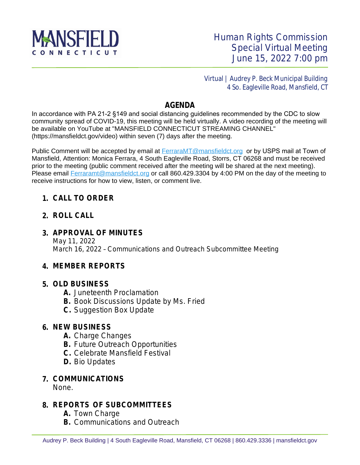

 Virtual | Audrey P. Beck Municipal Building 4 So. Eagleville Road, Mansfield, CT

## **AGENDA**

In accordance with PA 21-2 §149 and social distancing guidelines recommended by the CDC to slow community spread of COVID-19, this meeting will be held virtually. A video recording of the meeting will be available on YouTube at "MANSFIELD CONNECTICUT STREAMING CHANNEL" (https://mansfieldct.gov/video) within seven (7) days after the meeting.

Public Comment will be accepted by email at **FerraraMT@mansfieldct.org** or by USPS mail at Town of [Mansfield, Attention: Monica Ferrara, 4 South Eagleville Road, Storrs, CT 06268 and must be received](mailto:FerraraMT@mansfieldct.org)  [prior to the meeting \(public comment received after the meeting will be shared at the next meeting\).](mailto:FerraraMT@mansfieldct.org) [Please email](mailto:FerraraMT@mansfieldct.org) [Ferraramt@mansfieldct.org](mailto:Ferraramt@mansfieldct.org) or call 860.429.3304 by 4:00 PM on the day of the meeting to receive instructions for how to view, listen, or comment live.

#### **1. CALL TO ORDER**

#### **2. ROLL CALL**

### **3. APPROVAL OF MINUTES**

May 11, 2022 March 16, 2022 – Communications and Outreach Subcommittee Meeting

#### **4. MEMBER REPORTS**

#### **5. OLD BUSINESS**

- **A.** Juneteenth Proclamation
- **B.** Book Discussions Update by Ms. Fried
- **C.** Suggestion Box Update

#### **6. NEW BUSINESS**

- **A.** Charge Changes
- **B.** Future Outreach Opportunities
- **C.** Celebrate Mansfield Festival
- **D.** Bio Updates

## **7. COMMUNICATIONS**

None.

## **8. REPORTS OF SUBCOMMITTEES**

- **A.** Town Charge
- **B.** Communications and Outreach